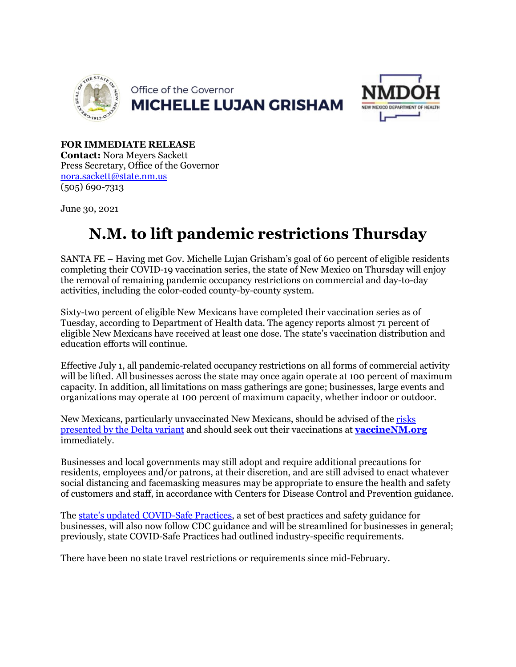



**FOR IMMEDIATE RELEASE Contact:** Nora Meyers Sackett Press Secretary, Office of the Governor [nora.sackett@state.nm.us](mailto:nora.sackett@state.nm.us) (505) 690-7313

June 30, 2021

# **N.M. to lift pandemic restrictions Thursday**

SANTA FE – Having met Gov. Michelle Lujan Grisham's goal of 60 percent of eligible residents completing their COVID-19 vaccination series, the state of New Mexico on Thursday will enjoy the removal of remaining pandemic occupancy restrictions on commercial and day-to-day activities, including the color-coded county-by-county system.

Sixty-two percent of eligible New Mexicans have completed their vaccination series as of Tuesday, according to Department of Health data. The agency reports almost 71 percent of eligible New Mexicans have received at least one dose. The state's vaccination distribution and education efforts will continue.

Effective July 1, all pandemic-related occupancy restrictions on all forms of commercial activity will be lifted. All businesses across the state may once again operate at 100 percent of maximum capacity. In addition, all limitations on mass gatherings are gone; businesses, large events and organizations may operate at 100 percent of maximum capacity, whether indoor or outdoor.

New Mexicans, particularly unvaccinated New Mexicans, should be advised of the [risks](https://cv.nmhealth.org/wp-content/uploads/2021/06/COVID-19-VOC-Case-Report-2021-06-28-draft_CM-jth.pdf)  [presented by the Delta variant](https://cv.nmhealth.org/wp-content/uploads/2021/06/COVID-19-VOC-Case-Report-2021-06-28-draft_CM-jth.pdf) and should seek out their vaccinations at **[vaccineNM.org](http://vaccinenm.org/)** immediately.

Businesses and local governments may still adopt and require additional precautions for residents, employees and/or patrons, at their discretion, and are still advised to enact whatever social distancing and facemasking measures may be appropriate to ensure the health and safety of customers and staff, in accordance with Centers for Disease Control and Prevention guidance.

The [state's updated COVID-Safe Practices,](https://indd.adobe.com/view/3f732e94-0164-424d-9ac6-a0ace27e70c8) a set of best practices and safety guidance for businesses, will also now follow CDC guidance and will be streamlined for businesses in general; previously, state COVID-Safe Practices had outlined industry-specific requirements.

There have been no state travel restrictions or requirements since mid-February.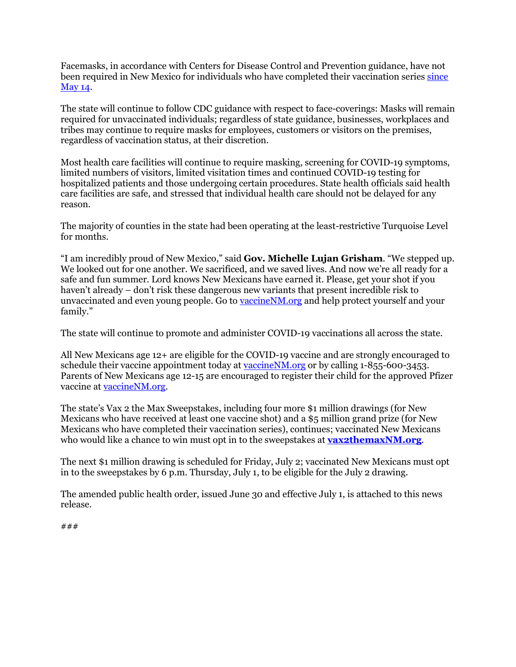Facemasks, in accordance with Centers for Disease Control and Prevention guidance, have not been required in New Mexico for individuals who have completed their vaccination series since [May 14.](https://www.governor.state.nm.us/2021/05/14/updated-public-health-order-in-effect-new-mexico-adopts-cdc-mask-guidance-for-fully-vaccinated-individuals/)

The state will continue to follow CDC guidance with respect to face-coverings: Masks will remain required for unvaccinated individuals; regardless of state guidance, businesses, workplaces and tribes may continue to require masks for employees, customers or visitors on the premises, regardless of vaccination status, at their discretion.

Most health care facilities will continue to require masking, screening for COVID-19 symptoms, limited numbers of visitors, limited visitation times and continued COVID-19 testing for hospitalized patients and those undergoing certain procedures. State health officials said health care facilities are safe, and stressed that individual health care should not be delayed for any reason.

The majority of counties in the state had been operating at the least-restrictive Turquoise Level for months.

"I am incredibly proud of New Mexico," said **Gov. Michelle Lujan Grisham**. "We stepped up. We looked out for one another. We sacrificed, and we saved lives. And now we're all ready for a safe and fun summer. Lord knows New Mexicans have earned it. Please, get your shot if you haven't already – don't risk these dangerous new variants that present incredible risk to unvaccinated and even young people. Go to vaccine NM org and help protect yourself and your family."

The state will continue to promote and administer COVID-19 vaccinations all across the state.

All New Mexicans age 12+ are eligible for the COVID-19 vaccine and are strongly encouraged to schedule their vaccine appointment today at [vaccineNM.org](http://vaccinenm.org/) or by calling 1-855-600-3453. Parents of New Mexicans age 12-15 are encouraged to register their child for the approved Pfizer vaccine a[t vaccineNM.org.](http://vaccinenm.org/)

The state's Vax 2 the Max Sweepstakes, including four more \$1 million drawings (for New Mexicans who have received at least one vaccine shot) and a \$5 million grand prize (for New Mexicans who have completed their vaccination series), continues; vaccinated New Mexicans who would like a chance to win must opt in to the sweepstakes at **[vax2themaxNM.org](https://vax2themaxnm.org/sweepstakes/)**.

The next \$1 million drawing is scheduled for Friday, July 2; vaccinated New Mexicans must opt in to the sweepstakes by 6 p.m. Thursday, July 1, to be eligible for the July 2 drawing.

The amended public health order, issued June 30 and effective July 1, is attached to this news release.

### ###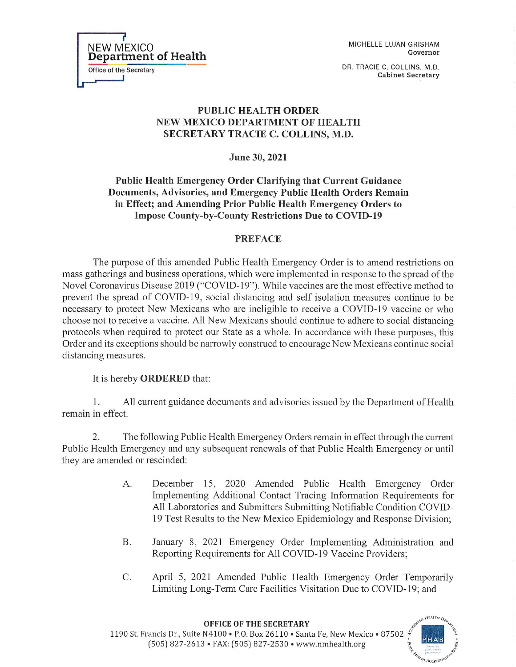MICHELLE LUJAN GRISHAM Governor

DR. TRACIE C. COLLINS, M.D. **Cabinet Secretary** 

# **PUBLIC HEALTH ORDER** NEW MEXICO DEPARTMENT OF HEALTH SECRETARY TRACIE C. COLLINS, M.D.

June 30, 2021

Public Health Emergency Order Clarifying that Current Guidance Documents, Advisories, and Emergency Public Health Orders Remain in Effect; and Amending Prior Public Health Emergency Orders to **Impose County-by-County Restrictions Due to COVID-19** 

# **PREFACE**

The purpose of this amended Public Health Emergency Order is to amend restrictions on mass gatherings and business operations, which were implemented in response to the spread of the Novel Coronavirus Disease 2019 ("COVID-19"). While vaccines are the most effective method to prevent the spread of COVID-19, social distancing and self isolation measures continue to be necessary to protect New Mexicans who are ineligible to receive a COVID-19 vaccine or who choose not to receive a vaccine. All New Mexicans should continue to adhere to social distancing protocols when required to protect our State as a whole. In accordance with these purposes, this Order and its exceptions should be narrowly construed to encourage New Mexicans continue social distancing measures.

It is hereby **ORDERED** that:

1. All current guidance documents and advisories issued by the Department of Health remain in effect.

 $\overline{2}$ . The following Public Health Emergency Orders remain in effect through the current Public Health Emergency and any subsequent renewals of that Public Health Emergency or until they are amended or rescinded:

- A. December 15, 2020 Amended Public Health Emergency Order Implementing Additional Contact Tracing Information Requirements for All Laboratories and Submitters Submitting Notifiable Condition COVID-19 Test Results to the New Mexico Epidemiology and Response Division;
- Β. January 8, 2021 Emergency Order Implementing Administration and Reporting Requirements for All COVID-19 Vaccine Providers;
- C. April 5, 2021 Amended Public Health Emergency Order Temporarily Limiting Long-Term Care Facilities Visitation Due to COVID-19; and



NEW MEXICO **Department of Health** Office of the Secretary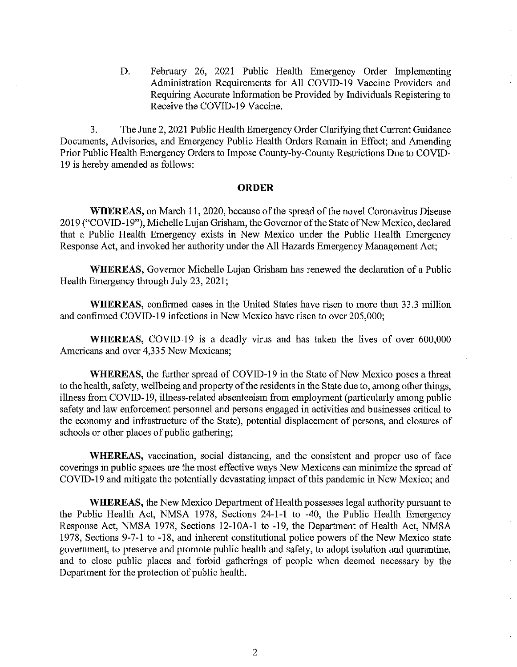February 26, 2021 Public Health Emergency Order Implementing D. Administration Requirements for All COVID-19 Vaccine Providers and Requiring Accurate Information be Provided by Individuals Registering to Receive the COVID-19 Vaccine.

3. The June 2, 2021 Public Health Emergency Order Clarifying that Current Guidance Documents, Advisories, and Emergency Public Health Orders Remain in Effect; and Amending Prior Public Health Emergency Orders to Impose County-by-County Restrictions Due to COVID-19 is hereby amended as follows:

#### **ORDER**

**WHEREAS**, on March 11, 2020, because of the spread of the novel Coronavirus Disease 2019 ("COVID-19"), Michelle Lujan Grisham, the Governor of the State of New Mexico, declared that a Public Health Emergency exists in New Mexico under the Public Health Emergency Response Act, and invoked her authority under the All Hazards Emergency Management Act;

WHEREAS, Governor Michelle Lujan Grisham has renewed the declaration of a Public Health Emergency through July 23, 2021;

**WHEREAS**, confirmed cases in the United States have risen to more than 33.3 million and confirmed COVID-19 infections in New Mexico have risen to over 205,000;

WHEREAS, COVID-19 is a deadly virus and has taken the lives of over 600,000 Americans and over 4,335 New Mexicans;

**WHEREAS**, the further spread of COVID-19 in the State of New Mexico poses a threat to the health, safety, wellbeing and property of the residents in the State due to, among other things, illness from COVID-19, illness-related absenteeism from employment (particularly among public safety and law enforcement personnel and persons engaged in activities and businesses critical to the economy and infrastructure of the State), potential displacement of persons, and closures of schools or other places of public gathering;

WHEREAS, vaccination, social distancing, and the consistent and proper use of face coverings in public spaces are the most effective ways New Mexicans can minimize the spread of COVID-19 and mitigate the potentially devastating impact of this pandemic in New Mexico; and

**WHEREAS**, the New Mexico Department of Health possesses legal authority pursuant to the Public Health Act, NMSA 1978, Sections 24-1-1 to -40, the Public Health Emergency Response Act, NMSA 1978, Sections 12-10A-1 to -19, the Department of Health Act, NMSA 1978, Sections 9-7-1 to -18, and inherent constitutional police powers of the New Mexico state government, to preserve and promote public health and safety, to adopt isolation and quarantine, and to close public places and forbid gatherings of people when deemed necessary by the Department for the protection of public health.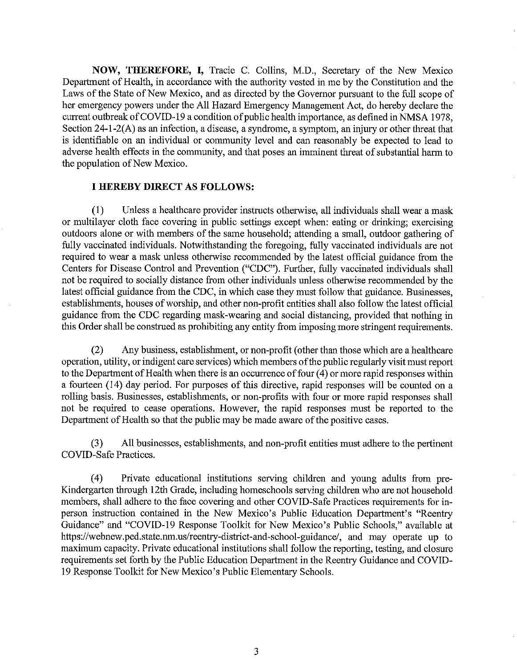**NOW, THEREFORE, I, Tracie C. Collins, M.D., Secretary of the New Mexico** Department of Health, in accordance with the authority vested in me by the Constitution and the Laws of the State of New Mexico, and as directed by the Governor pursuant to the full scope of her emergency powers under the All Hazard Emergency Management Act, do hereby declare the current outbreak of COVID-19 a condition of public health importance, as defined in NMSA 1978, Section 24-1-2(A) as an infection, a disease, a syndrome, a symptom, an injury or other threat that is identifiable on an individual or community level and can reasonably be expected to lead to adverse health effects in the community, and that poses an imminent threat of substantial harm to the population of New Mexico.

## **I HEREBY DIRECT AS FOLLOWS:**

Unless a healthcare provider instructs otherwise, all individuals shall wear a mask  $(1)$ or multilayer cloth face covering in public settings except when: eating or drinking; exercising outdoors alone or with members of the same household; attending a small, outdoor gathering of fully vaccinated individuals. Notwithstanding the foregoing, fully vaccinated individuals are not required to wear a mask unless otherwise recommended by the latest official guidance from the Centers for Disease Control and Prevention ("CDC"). Further, fully vaccinated individuals shall not be required to socially distance from other individuals unless otherwise recommended by the latest official guidance from the CDC, in which case they must follow that guidance. Businesses, establishments, houses of worship, and other non-profit entities shall also follow the latest official guidance from the CDC regarding mask-wearing and social distancing, provided that nothing in this Order shall be construed as prohibiting any entity from imposing more stringent requirements.

 $(2)$ Any business, establishment, or non-profit (other than those which are a healthcare operation, utility, or indigent care services) which members of the public regularly visit must report to the Department of Health when there is an occurrence of four (4) or more rapid responses within a fourteen (14) day period. For purposes of this directive, rapid responses will be counted on a rolling basis. Businesses, establishments, or non-profits with four or more rapid responses shall not be required to cease operations. However, the rapid responses must be reported to the Department of Health so that the public may be made aware of the positive cases.

All businesses, establishments, and non-profit entities must adhere to the pertinent  $(3)$ COVID-Safe Practices.

 $(4)$ Private educational institutions serving children and young adults from pre-Kindergarten through 12th Grade, including homeschools serving children who are not household members, shall adhere to the face covering and other COVID-Safe Practices requirements for inperson instruction contained in the New Mexico's Public Education Department's "Reentry Guidance" and "COVID-19 Response Toolkit for New Mexico's Public Schools," available at https://webnew.ped.state.nm.us/reentry-district-and-school-guidance/, and may operate up to maximum capacity. Private educational institutions shall follow the reporting, testing, and closure requirements set forth by the Public Education Department in the Reentry Guidance and COVID-19 Response Toolkit for New Mexico's Public Elementary Schools.